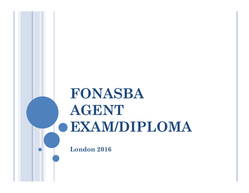# **FONASBA AGENT EXAM/DIPLOMA**

**London 2016**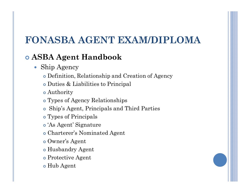# **FONASBA AGENT EXAM/DIPLOMA**

#### **ASBA Agent Handbook**

- Ship Agency
	- Definition, Relationship and Creation of Agency
	- Duties & Liabilities to Principal
	- Authority
	- Types of Agency Relationships
	- Ship's Agent, Principals and Third Parties
	- Types of Principals
	- 'As Agent' Signature
	- Charterer's Nominated Agent
	- Owner's Agent
	- Husbandry Agent
	- Protective Agent
	- Hub Agent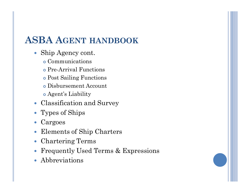## **ASBA AGENT HANDBOOK**

- Ship Agency cont.
	- Communications
	- Pre-Arrival Functions
	- Post Sailing Functions
	- Disbursement Account
	- Agent's Liability
- Classification and Survey
- Types of Ships
- Cargoes
- Elements of Ship Charters
- Chartering Terms
- Frequently Used Terms & Expressions
- Abbreviations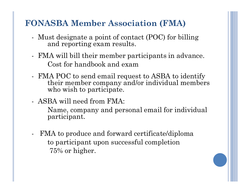#### **FONASBA Member Association (FMA)**

- Must designate a point of contact (POC) for billing and reporting exam results.
- FMA will bill their member participants in advance. Cost for handbook and exam
- FMA POC to send email request to ASBA to identify their member company and/or individual members who wish to participate.
- ASBA will need from FMA:
	- Name, company and personal email for individual participant.
- FMA to produce and forward certificate/diploma to participant upon successful completion 75% or higher.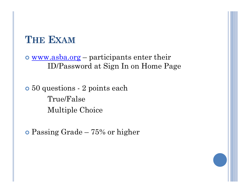## **THE EXAM**

 www.asba.org – participants enter their ID/Password at Sign In on Home Page

 50 questions - 2 points each True/False Multiple Choice

Passing Grade – 75% or higher